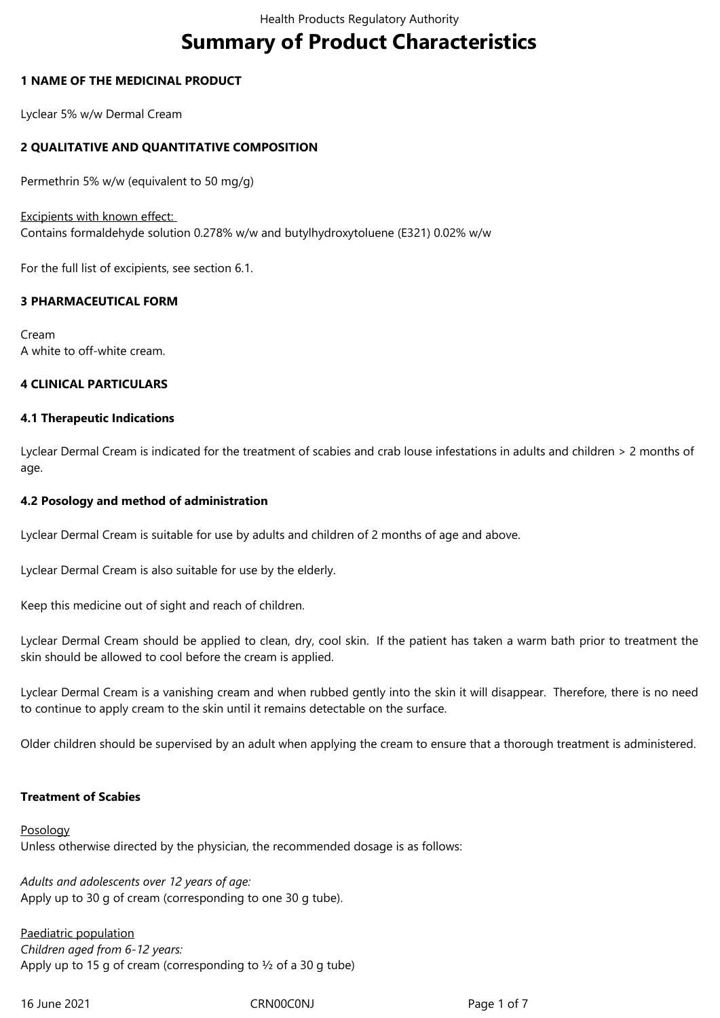# **Summary of Product Characteristics**

## **1 NAME OF THE MEDICINAL PRODUCT**

Lyclear 5% w/w Dermal Cream

## **2 QUALITATIVE AND QUANTITATIVE COMPOSITION**

Permethrin 5% w/w (equivalent to 50 mg/g)

Excipients with known effect: Contains formaldehyde solution 0.278% w/w and butylhydroxytoluene (E321) 0.02% w/w

For the full list of excipients, see section 6.1.

# **3 PHARMACEUTICAL FORM**

Cream A white to off-white cream.

## **4 CLINICAL PARTICULARS**

## **4.1 Therapeutic Indications**

Lyclear Dermal Cream is indicated for the treatment of scabies and crab louse infestations in adults and children > 2 months of age.

## **4.2 Posology and method of administration**

Lyclear Dermal Cream is suitable for use by adults and children of 2 months of age and above.

Lyclear Dermal Cream is also suitable for use by the elderly.

Keep this medicine out of sight and reach of children.

Lyclear Dermal Cream should be applied to clean, dry, cool skin. If the patient has taken a warm bath prior to treatment the skin should be allowed to cool before the cream is applied.

Lyclear Dermal Cream is a vanishing cream and when rubbed gently into the skin it will disappear. Therefore, there is no need to continue to apply cream to the skin until it remains detectable on the surface.

Older children should be supervised by an adult when applying the cream to ensure that a thorough treatment is administered.

## **Treatment of Scabies**

**Posology** Unless otherwise directed by the physician, the recommended dosage is as follows:

*Adults and adolescents over 12 years of age:* Apply up to 30 g of cream (corresponding to one 30 g tube).

Paediatric population *Children aged from 6-12 years:* Apply up to 15 g of cream (corresponding to  $\frac{1}{2}$  of a 30 g tube)

16 June 2021 CRN00C0NJ Page 1 of 7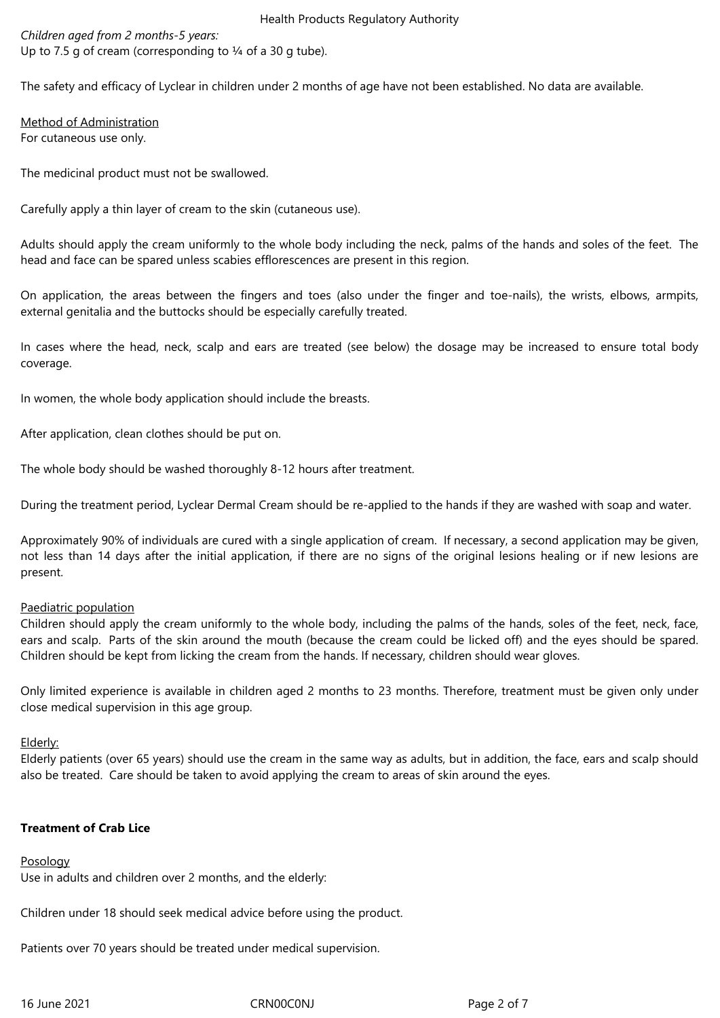*Children aged from 2 months-5 years:* Up to 7.5 g of cream (corresponding to  $\frac{1}{4}$  of a 30 g tube).

The safety and efficacy of Lyclear in children under 2 months of age have not been established. No data are available.

Method of Administration For cutaneous use only.

The medicinal product must not be swallowed.

Carefully apply a thin layer of cream to the skin (cutaneous use).

Adults should apply the cream uniformly to the whole body including the neck, palms of the hands and soles of the feet. The head and face can be spared unless scabies efflorescences are present in this region.

On application, the areas between the fingers and toes (also under the finger and toe-nails), the wrists, elbows, armpits, external genitalia and the buttocks should be especially carefully treated.

In cases where the head, neck, scalp and ears are treated (see below) the dosage may be increased to ensure total body coverage.

In women, the whole body application should include the breasts.

After application, clean clothes should be put on.

The whole body should be washed thoroughly 8-12 hours after treatment.

During the treatment period, Lyclear Dermal Cream should be re-applied to the hands if they are washed with soap and water.

Approximately 90% of individuals are cured with a single application of cream. If necessary, a second application may be given, not less than 14 days after the initial application, if there are no signs of the original lesions healing or if new lesions are present.

## Paediatric population

Children should apply the cream uniformly to the whole body, including the palms of the hands, soles of the feet, neck, face, ears and scalp. Parts of the skin around the mouth (because the cream could be licked off) and the eyes should be spared. Children should be kept from licking the cream from the hands. If necessary, children should wear gloves.

Only limited experience is available in children aged 2 months to 23 months. Therefore, treatment must be given only under close medical supervision in this age group.

Elderly:

Elderly patients (over 65 years) should use the cream in the same way as adults, but in addition, the face, ears and scalp should also be treated. Care should be taken to avoid applying the cream to areas of skin around the eyes.

# **Treatment of Crab Lice**

## Posology

Use in adults and children over 2 months, and the elderly:

Children under 18 should seek medical advice before using the product.

Patients over 70 years should be treated under medical supervision.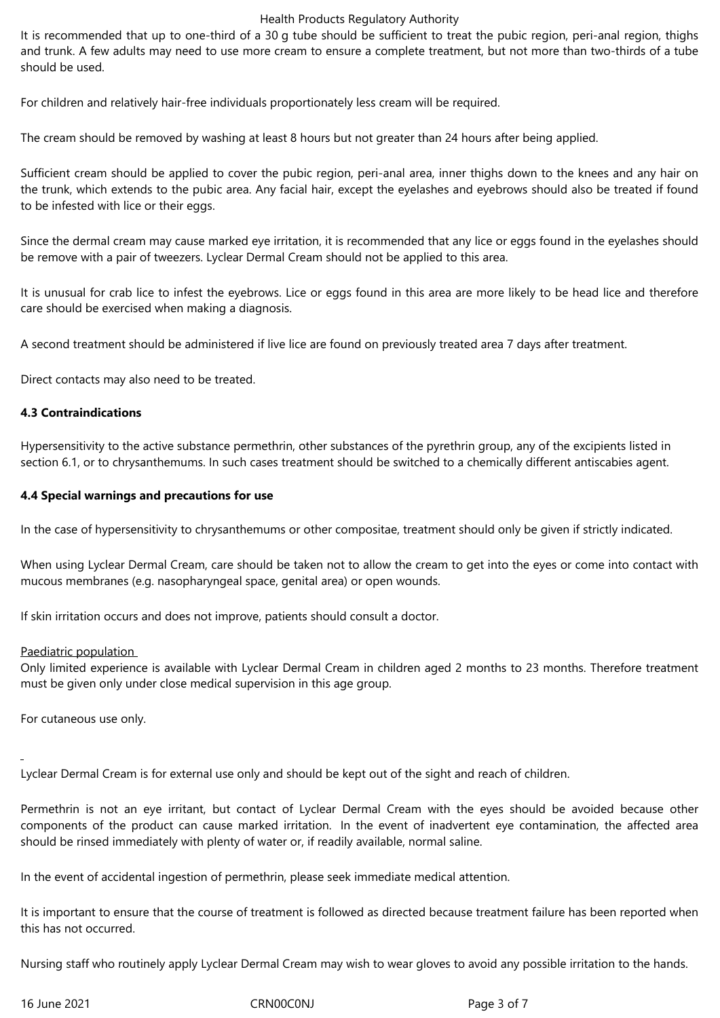It is recommended that up to one-third of a 30 g tube should be sufficient to treat the pubic region, peri-anal region, thighs and trunk. A few adults may need to use more cream to ensure a complete treatment, but not more than two-thirds of a tube should be used.

For children and relatively hair-free individuals proportionately less cream will be required.

The cream should be removed by washing at least 8 hours but not greater than 24 hours after being applied.

Sufficient cream should be applied to cover the pubic region, peri-anal area, inner thighs down to the knees and any hair on the trunk, which extends to the pubic area. Any facial hair, except the eyelashes and eyebrows should also be treated if found to be infested with lice or their eggs.

Since the dermal cream may cause marked eye irritation, it is recommended that any lice or eggs found in the eyelashes should be remove with a pair of tweezers. Lyclear Dermal Cream should not be applied to this area.

It is unusual for crab lice to infest the eyebrows. Lice or eggs found in this area are more likely to be head lice and therefore care should be exercised when making a diagnosis.

A second treatment should be administered if live lice are found on previously treated area 7 days after treatment.

Direct contacts may also need to be treated.

## **4.3 Contraindications**

Hypersensitivity to the active substance permethrin, other substances of the pyrethrin group, any of the excipients listed in section 6.1, or to chrysanthemums. In such cases treatment should be switched to a chemically different antiscabies agent.

## **4.4 Special warnings and precautions for use**

In the case of hypersensitivity to chrysanthemums or other compositae, treatment should only be given if strictly indicated.

When using Lyclear Dermal Cream, care should be taken not to allow the cream to get into the eyes or come into contact with mucous membranes (e.g. nasopharyngeal space, genital area) or open wounds.

If skin irritation occurs and does not improve, patients should consult a doctor.

## Paediatric population

Only limited experience is available with Lyclear Dermal Cream in children aged 2 months to 23 months. Therefore treatment must be given only under close medical supervision in this age group.

For cutaneous use only.

Lyclear Dermal Cream is for external use only and should be kept out of the sight and reach of children.

Permethrin is not an eye irritant, but contact of Lyclear Dermal Cream with the eyes should be avoided because other components of the product can cause marked irritation. In the event of inadvertent eye contamination, the affected area should be rinsed immediately with plenty of water or, if readily available, normal saline.

In the event of accidental ingestion of permethrin, please seek immediate medical attention.

It is important to ensure that the course of treatment is followed as directed because treatment failure has been reported when this has not occurred.

Nursing staff who routinely apply Lyclear Dermal Cream may wish to wear gloves to avoid any possible irritation to the hands.

16 June 2021 CRN00C0NJ Page 3 of 7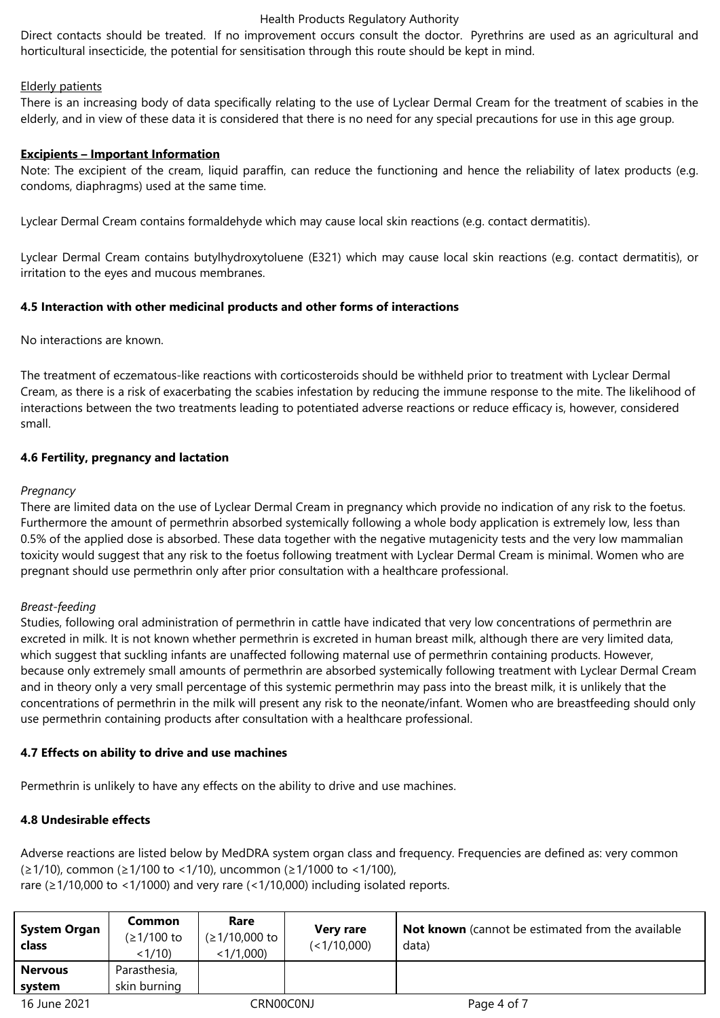Direct contacts should be treated. If no improvement occurs consult the doctor. Pyrethrins are used as an agricultural and horticultural insecticide, the potential for sensitisation through this route should be kept in mind.

## Elderly patients

There is an increasing body of data specifically relating to the use of Lyclear Dermal Cream for the treatment of scabies in the elderly, and in view of these data it is considered that there is no need for any special precautions for use in this age group.

## **Excipients – Important Information**

Note: The excipient of the cream, liquid paraffin, can reduce the functioning and hence the reliability of latex products (e.g. condoms, diaphragms) used at the same time.

Lyclear Dermal Cream contains formaldehyde which may cause local skin reactions (e.g. contact dermatitis).

Lyclear Dermal Cream contains butylhydroxytoluene (E321) which may cause local skin reactions (e.g. contact dermatitis), or irritation to the eyes and mucous membranes.

## **4.5 Interaction with other medicinal products and other forms of interactions**

No interactions are known.

The treatment of eczematous-like reactions with corticosteroids should be withheld prior to treatment with Lyclear Dermal Cream, as there is a risk of exacerbating the scabies infestation by reducing the immune response to the mite. The likelihood of interactions between the two treatments leading to potentiated adverse reactions or reduce efficacy is, however, considered small.

## **4.6 Fertility, pregnancy and lactation**

## *Pregnancy*

There are limited data on the use of Lyclear Dermal Cream in pregnancy which provide no indication of any risk to the foetus. Furthermore the amount of permethrin absorbed systemically following a whole body application is extremely low, less than 0.5% of the applied dose is absorbed. These data together with the negative mutagenicity tests and the very low mammalian toxicity would suggest that any risk to the foetus following treatment with Lyclear Dermal Cream is minimal. Women who are pregnant should use permethrin only after prior consultation with a healthcare professional.

# *Breast-feeding*

Studies, following oral administration of permethrin in cattle have indicated that very low concentrations of permethrin are excreted in milk. It is not known whether permethrin is excreted in human breast milk, although there are very limited data, which suggest that suckling infants are unaffected following maternal use of permethrin containing products. However, because only extremely small amounts of permethrin are absorbed systemically following treatment with Lyclear Dermal Cream and in theory only a very small percentage of this systemic permethrin may pass into the breast milk, it is unlikely that the concentrations of permethrin in the milk will present any risk to the neonate/infant. Women who are breastfeeding should only use permethrin containing products after consultation with a healthcare professional.

# **4.7 Effects on ability to drive and use machines**

Permethrin is unlikely to have any effects on the ability to drive and use machines.

# **4.8 Undesirable effects**

Adverse reactions are listed below by MedDRA system organ class and frequency. Frequencies are defined as: very common (≥1/10), common (≥1/100 to <1/10), uncommon (≥1/1000 to <1/100), rare (≥1/10,000 to <1/1000) and very rare (<1/10,000) including isolated reports.

| <b>System Organ</b><br>class | Common<br>(≥1/100 to<br>$<1/10$ ) | Rare<br>$(21/10,000 \text{ to }$<br>$<1/1,000$ ) | Very rare<br>(<1/10,000) | <b>Not known</b> (cannot be estimated from the available<br>data) |
|------------------------------|-----------------------------------|--------------------------------------------------|--------------------------|-------------------------------------------------------------------|
| <b>Nervous</b>               | Parasthesia,                      |                                                  |                          |                                                                   |
| system                       | skin burning                      |                                                  |                          |                                                                   |
| 16 June 2021                 |                                   | CRN00C0NJ                                        |                          | Page 4 of 7                                                       |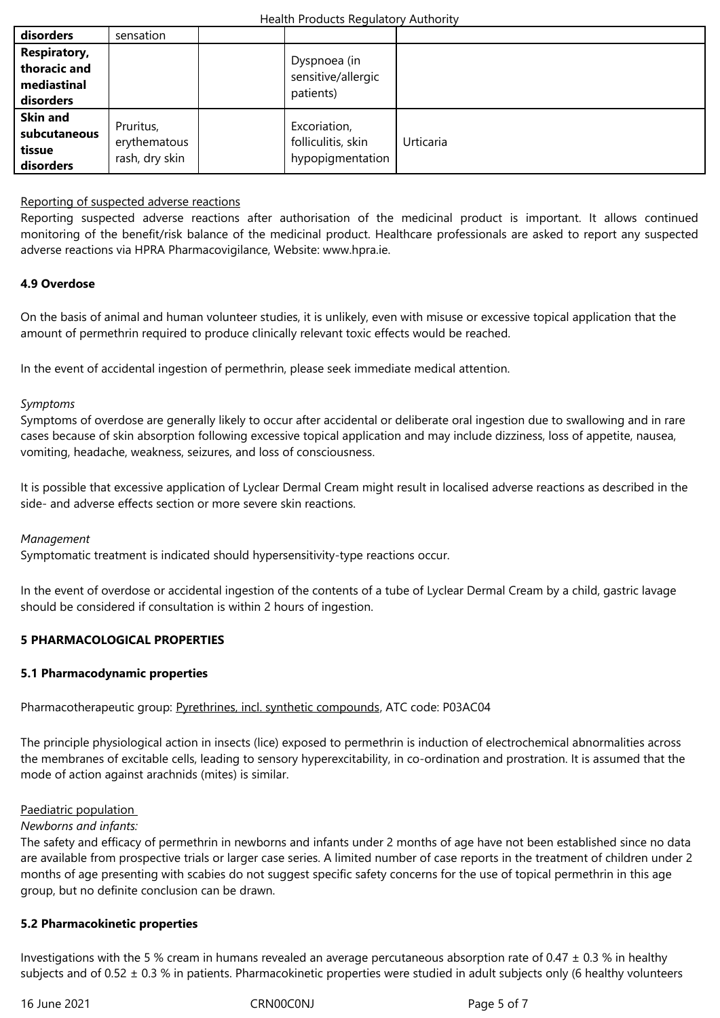| thoracic and<br>mediastinal<br>disorders               |                                             | <del>oysphoea (in</del><br>sensitive/allergic<br>patients) |           |
|--------------------------------------------------------|---------------------------------------------|------------------------------------------------------------|-----------|
| <b>Skin and</b><br>subcutaneous<br>tissue<br>disorders | Pruritus,<br>erythematous<br>rash, dry skin | Excoriation,<br>folliculitis, skin<br>hypopigmentation     | Urticaria |

## Reporting of suspected adverse reactions

Reporting suspected adverse reactions after authorisation of the medicinal product is important. It allows continued monitoring of the benefit/risk balance of the medicinal product. Healthcare professionals are asked to report any suspected adverse reactions via HPRA Pharmacovigilance, Website: www.hpra.ie.

## **4.9 Overdose**

On the basis of animal and human volunteer studies, it is unlikely, even with misuse or excessive topical application that the amount of permethrin required to produce clinically relevant toxic effects would be reached.

In the event of accidental ingestion of permethrin, please seek immediate medical attention.

## *Symptoms*

Symptoms of overdose are generally likely to occur after accidental or deliberate oral ingestion due to swallowing and in rare cases because of skin absorption following excessive topical application and may include dizziness, loss of appetite, nausea, vomiting, headache, weakness, seizures, and loss of consciousness.

It is possible that excessive application of Lyclear Dermal Cream might result in localised adverse reactions as described in the side- and adverse effects section or more severe skin reactions.

## *Management*

Symptomatic treatment is indicated should hypersensitivity-type reactions occur.

In the event of overdose or accidental ingestion of the contents of a tube of Lyclear Dermal Cream by a child, gastric lavage should be considered if consultation is within 2 hours of ingestion.

# **5 PHARMACOLOGICAL PROPERTIES**

## **5.1 Pharmacodynamic properties**

# Pharmacotherapeutic group: Pyrethrines, incl. synthetic compounds, ATC code: P03AC04

The principle physiological action in insects (lice) exposed to permethrin is induction of electrochemical abnormalities across the membranes of excitable [cells, leading to sensory hyperexcitabilit](http://www.whocc.no/atc_ddd_index/?code=P03AC)y, in co-ordination and prostration. It is assumed that the mode of action against arachnids (mites) is similar.

## Paediatric population

## *Newborns and infants:*

The safety and efficacy of permethrin in newborns and infants under 2 months of age have not been established since no data are available from prospective trials or larger case series. A limited number of case reports in the treatment of children under 2 months of age presenting with scabies do not suggest specific safety concerns for the use of topical permethrin in this age group, but no definite conclusion can be drawn.

## **5.2 Pharmacokinetic properties**

Investigations with the 5 % cream in humans revealed an average percutaneous absorption rate of 0.47  $\pm$  0.3 % in healthy subjects and of 0.52 ± 0.3 % in patients. Pharmacokinetic properties were studied in adult subjects only (6 healthy volunteers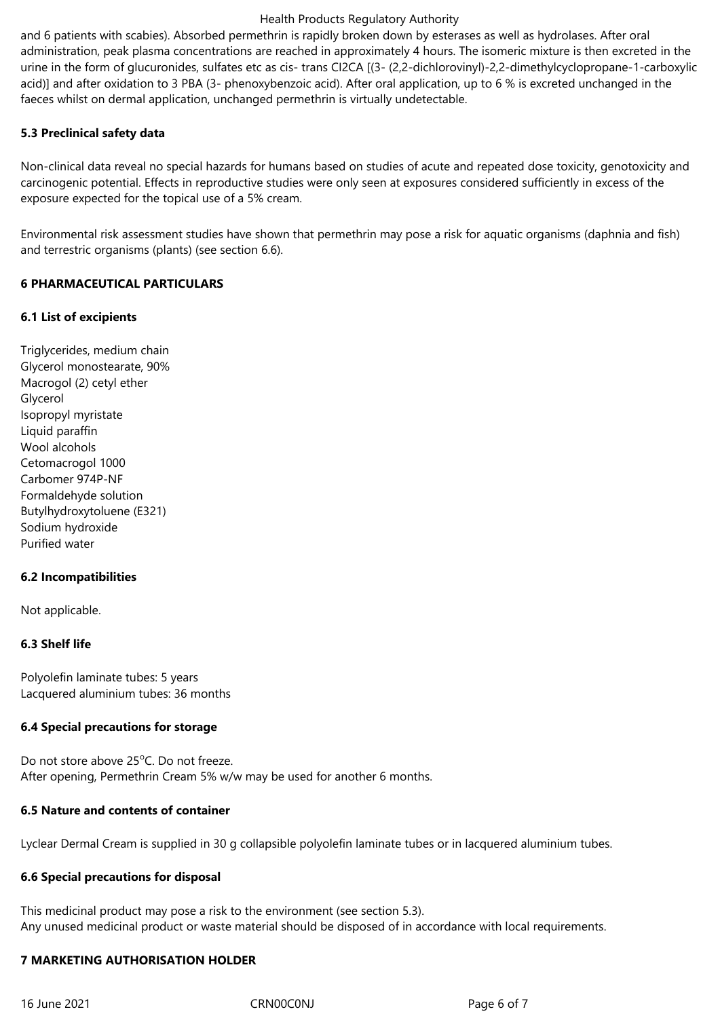and 6 patients with scabies). Absorbed permethrin is rapidly broken down by esterases as well as hydrolases. After oral administration, peak plasma concentrations are reached in approximately 4 hours. The isomeric mixture is then excreted in the urine in the form of glucuronides, sulfates etc as cis- trans CI2CA [(3- (2,2-dichlorovinyl)-2,2-dimethylcyclopropane-1-carboxylic acid)] and after oxidation to 3 PBA (3- phenoxybenzoic acid). After oral application, up to 6 % is excreted unchanged in the faeces whilst on dermal application, unchanged permethrin is virtually undetectable.

## **5.3 Preclinical safety data**

Non-clinical data reveal no special hazards for humans based on studies of acute and repeated dose toxicity, genotoxicity and carcinogenic potential. Effects in reproductive studies were only seen at exposures considered sufficiently in excess of the exposure expected for the topical use of a 5% cream.

Environmental risk assessment studies have shown that permethrin may pose a risk for aquatic organisms (daphnia and fish) and terrestric organisms (plants) (see section 6.6).

## **6 PHARMACEUTICAL PARTICULARS**

## **6.1 List of excipients**

Triglycerides, medium chain Glycerol monostearate, 90% Macrogol (2) cetyl ether Glycerol Isopropyl myristate Liquid paraffin Wool alcohols Cetomacrogol 1000 Carbomer 974P-NF Formaldehyde solution Butylhydroxytoluene (E321) Sodium hydroxide Purified water

## **6.2 Incompatibilities**

Not applicable.

# **6.3 Shelf life**

Polyolefin laminate tubes: 5 years Lacquered aluminium tubes: 36 months

## **6.4 Special precautions for storage**

Do not store above 25<sup>o</sup>C. Do not freeze. After opening, Permethrin Cream 5% w/w may be used for another 6 months.

## **6.5 Nature and contents of container**

Lyclear Dermal Cream is supplied in 30 g collapsible polyolefin laminate tubes or in lacquered aluminium tubes.

# **6.6 Special precautions for disposal**

This medicinal product may pose a risk to the environment (see section 5.3). Any unused medicinal product or waste material should be disposed of in accordance with local requirements.

## **7 MARKETING AUTHORISATION HOLDER**

16 June 2021 CRN00C0NJ Page 6 of 7